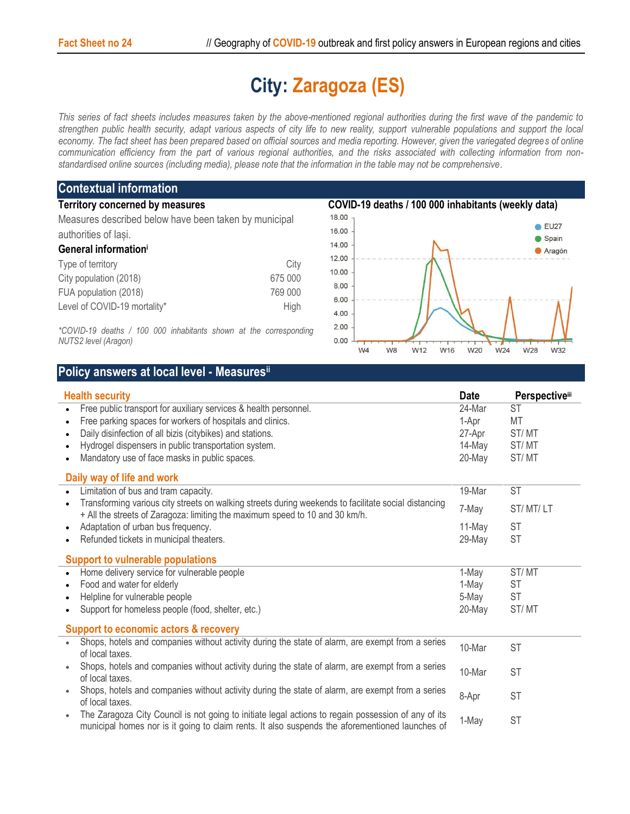## **City: Zaragoza (ES)**

*This series of fact sheets includes measures taken by the above-mentioned regional authorities during the first wave of the pandemic to strengthen public health security, adapt various aspects of city life to new reality, support vulnerable populations and support the local economy. The fact sheet has been prepared based on official sources and media reporting. However, given the variegated degrees of online communication efficiency from the part of various regional authorities, and the risks associated with collecting information from nonstandardised online sources (including media), please note that the information in the table may not be comprehensive*.

## **Contextual information Territory concerned by measures COVID-19 deaths / 100 000 inhabitants (weekly data)** 18.00 Measures described below have been taken by municipal 16.00 authorities of Iași. 14.00 **General information<sup>i</sup>** 12.00 Type of territory and the control of the City 10.00 City population (2018) 675 000 8.00 FUA population (2018) 769 000 6.00 Level of COVID-19 mortality\* High 4.00

*\*COVID-19 deaths / 100 000 inhabitants shown at the corresponding NUTS2 level (Aragon)*



## **Policy answers at local level - Measuresii**

| <b>Health security</b>                                                                                                                                                                                 | <b>Date</b> | <b>Perspectiveiii</b> |
|--------------------------------------------------------------------------------------------------------------------------------------------------------------------------------------------------------|-------------|-----------------------|
| Free public transport for auxiliary services & health personnel.                                                                                                                                       | 24-Mar      | <b>ST</b>             |
| Free parking spaces for workers of hospitals and clinics.<br>$\bullet$                                                                                                                                 | 1-Apr       | MT                    |
| Daily disinfection of all bizis (citybikes) and stations.                                                                                                                                              | 27-Apr      | ST/MT                 |
| Hydrogel dispensers in public transportation system.                                                                                                                                                   | 14-May      | ST/MT                 |
| Mandatory use of face masks in public spaces.                                                                                                                                                          | 20-May      | ST/MT                 |
| Daily way of life and work                                                                                                                                                                             |             |                       |
| Limitation of bus and tram capacity.                                                                                                                                                                   | 19-Mar      | <b>ST</b>             |
| Transforming various city streets on walking streets during weekends to facilitate social distancing<br>+ All the streets of Zaragoza: limiting the maximum speed to 10 and 30 km/h.                   | 7-May       | ST/MT/LT              |
| Adaptation of urban bus frequency.<br>$\bullet$                                                                                                                                                        | 11-May      | <b>ST</b>             |
| Refunded tickets in municipal theaters.                                                                                                                                                                | 29-May      | <b>ST</b>             |
| <b>Support to vulnerable populations</b>                                                                                                                                                               |             |                       |
| Home delivery service for vulnerable people                                                                                                                                                            | 1-May       | ST/MT                 |
| Food and water for elderly                                                                                                                                                                             | 1-May       | <b>ST</b>             |
| Helpline for vulnerable people                                                                                                                                                                         | 5-May       | ST                    |
| Support for homeless people (food, shelter, etc.)                                                                                                                                                      | 20-May      | ST/MT                 |
| <b>Support to economic actors &amp; recovery</b>                                                                                                                                                       |             |                       |
| Shops, hotels and companies without activity during the state of alarm, are exempt from a series<br>of local taxes.                                                                                    | 10-Mar      | <b>ST</b>             |
| Shops, hotels and companies without activity during the state of alarm, are exempt from a series<br>of local taxes.                                                                                    | 10-Mar      | <b>ST</b>             |
| Shops, hotels and companies without activity during the state of alarm, are exempt from a series<br>of local taxes.                                                                                    | 8-Apr       | <b>ST</b>             |
| The Zaragoza City Council is not going to initiate legal actions to regain possession of any of its<br>municipal homes nor is it going to claim rents. It also suspends the aforementioned launches of | 1-May       | <b>ST</b>             |